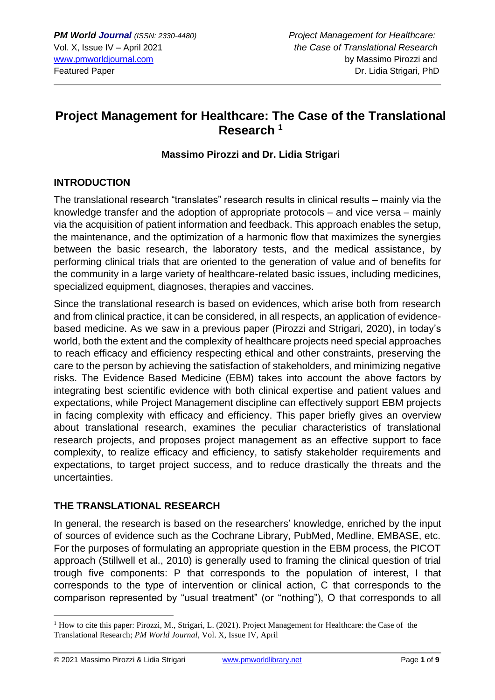# **Project Management for Healthcare: The Case of the Translational Research <sup>1</sup>**

#### **Massimo Pirozzi and Dr. Lidia Strigari**

### **INTRODUCTION**

The translational research "translates" research results in clinical results – mainly via the knowledge transfer and the adoption of appropriate protocols – and vice versa – mainly via the acquisition of patient information and feedback. This approach enables the setup, the maintenance, and the optimization of a harmonic flow that maximizes the synergies between the basic research, the laboratory tests, and the medical assistance, by performing clinical trials that are oriented to the generation of value and of benefits for the community in a large variety of healthcare-related basic issues, including medicines, specialized equipment, diagnoses, therapies and vaccines.

Since the translational research is based on evidences, which arise both from research and from clinical practice, it can be considered, in all respects, an application of evidencebased medicine. As we saw in a previous paper (Pirozzi and Strigari, 2020), in today's world, both the extent and the complexity of healthcare projects need special approaches to reach efficacy and efficiency respecting ethical and other constraints, preserving the care to the person by achieving the satisfaction of stakeholders, and minimizing negative risks. The Evidence Based Medicine (EBM) takes into account the above factors by integrating best scientific evidence with both clinical expertise and patient values and expectations, while Project Management discipline can effectively support EBM projects in facing complexity with efficacy and efficiency. This paper briefly gives an overview about translational research, examines the peculiar characteristics of translational research projects, and proposes project management as an effective support to face complexity, to realize efficacy and efficiency, to satisfy stakeholder requirements and expectations, to target project success, and to reduce drastically the threats and the uncertainties.

#### **THE TRANSLATIONAL RESEARCH**

In general, the research is based on the researchers' knowledge, enriched by the input of sources of evidence such as the Cochrane Library, PubMed, Medline, EMBASE, etc. For the purposes of formulating an appropriate question in the EBM process, the PICOT approach (Stillwell et al., 2010) is generally used to framing the clinical question of trial trough five components: P that corresponds to the population of interest, I that corresponds to the type of intervention or clinical action, C that corresponds to the comparison represented by "usual treatment" (or "nothing"), O that corresponds to all

<sup>1</sup> How to cite this paper: Pirozzi, M., Strigari, L. (2021). Project Management for Healthcare: the Case of the Translational Research; *PM World Journal*, Vol. X, Issue IV, April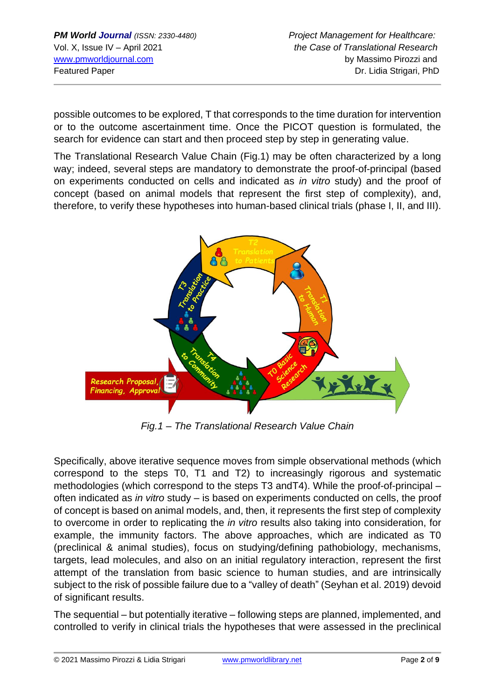possible outcomes to be explored, T that corresponds to the time duration for intervention or to the outcome ascertainment time. Once the PICOT question is formulated, the search for evidence can start and then proceed step by step in generating value.

The Translational Research Value Chain (Fig.1) may be often characterized by a long way; indeed, several steps are mandatory to demonstrate the proof-of-principal (based on experiments conducted on cells and indicated as *in vitro* study) and the proof of concept (based on animal models that represent the first step of complexity), and, therefore, to verify these hypotheses into human-based clinical trials (phase I, II, and III).



*Fig.1 – The Translational Research Value Chain*

Specifically, above iterative sequence moves from simple observational methods (which correspond to the steps T0, T1 and T2) to increasingly rigorous and systematic methodologies (which correspond to the steps T3 andT4). While the proof-of-principal – often indicated as *in vitro* study – is based on experiments conducted on cells, the proof of concept is based on animal models, and, then, it represents the first step of complexity to overcome in order to replicating the *in vitro* results also taking into consideration, for example, the immunity factors. The above approaches, which are indicated as T0 (preclinical & animal studies), focus on studying/defining pathobiology, mechanisms, targets, lead molecules, and also on an initial regulatory interaction, represent the first attempt of the translation from basic science to human studies, and are intrinsically subject to the risk of possible failure due to a "valley of death" (Seyhan et al. 2019) devoid of significant results.

The sequential – but potentially iterative – following steps are planned, implemented, and controlled to verify in clinical trials the hypotheses that were assessed in the preclinical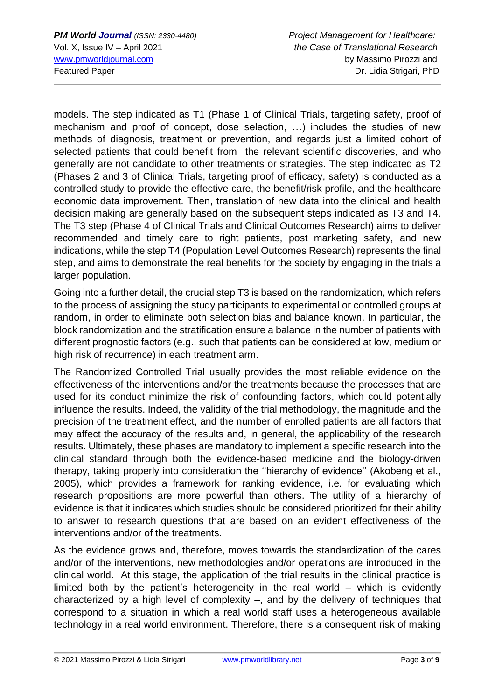models. The step indicated as T1 (Phase 1 of Clinical Trials, targeting safety, proof of mechanism and proof of concept, dose selection, …) includes the studies of new methods of diagnosis, treatment or prevention, and regards just a limited cohort of selected patients that could benefit from the relevant scientific discoveries, and who generally are not candidate to other treatments or strategies. The step indicated as T2 (Phases 2 and 3 of Clinical Trials, targeting proof of efficacy, safety) is conducted as a controlled study to provide the effective care, the benefit/risk profile, and the healthcare economic data improvement. Then, translation of new data into the clinical and health decision making are generally based on the subsequent steps indicated as T3 and T4. The T3 step (Phase 4 of Clinical Trials and Clinical Outcomes Research) aims to deliver recommended and timely care to right patients, post marketing safety, and new indications, while the step T4 (Population Level Outcomes Research) represents the final step, and aims to demonstrate the real benefits for the society by engaging in the trials a larger population.

Going into a further detail, the crucial step T3 is based on the randomization, which refers to the process of assigning the study participants to experimental or controlled groups at random, in order to eliminate both selection bias and balance known. In particular, the block randomization and the stratification ensure a balance in the number of patients with different prognostic factors (e.g., such that patients can be considered at low, medium or high risk of recurrence) in each treatment arm.

The Randomized Controlled Trial usually provides the most reliable evidence on the effectiveness of the interventions and/or the treatments because the processes that are used for its conduct minimize the risk of confounding factors, which could potentially influence the results. Indeed, the validity of the trial methodology, the magnitude and the precision of the treatment effect, and the number of enrolled patients are all factors that may affect the accuracy of the results and, in general, the applicability of the research results. Ultimately, these phases are mandatory to implement a specific research into the clinical standard through both the evidence-based medicine and the biology-driven therapy, taking properly into consideration the ''hierarchy of evidence'' (Akobeng et al., 2005), which provides a framework for ranking evidence, i.e. for evaluating which research propositions are more powerful than others. The utility of a hierarchy of evidence is that it indicates which studies should be considered prioritized for their ability to answer to research questions that are based on an evident effectiveness of the interventions and/or of the treatments.

As the evidence grows and, therefore, moves towards the standardization of the cares and/or of the interventions, new methodologies and/or operations are introduced in the clinical world. At this stage, the application of the trial results in the clinical practice is limited both by the patient's heterogeneity in the real world – which is evidently characterized by a high level of complexity –, and by the delivery of techniques that correspond to a situation in which a real world staff uses a heterogeneous available technology in a real world environment. Therefore, there is a consequent risk of making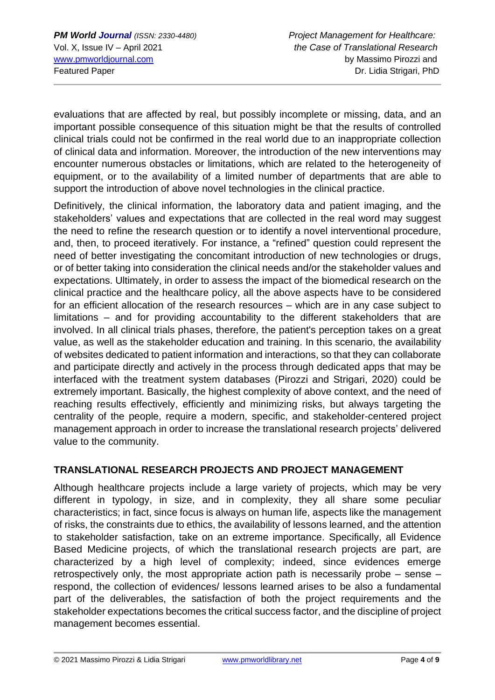evaluations that are affected by real, but possibly incomplete or missing, data, and an important possible consequence of this situation might be that the results of controlled clinical trials could not be confirmed in the real world due to an inappropriate collection of clinical data and information. Moreover, the introduction of the new interventions may encounter numerous obstacles or limitations, which are related to the heterogeneity of equipment, or to the availability of a limited number of departments that are able to support the introduction of above novel technologies in the clinical practice.

Definitively, the clinical information, the laboratory data and patient imaging, and the stakeholders' values and expectations that are collected in the real word may suggest the need to refine the research question or to identify a novel interventional procedure, and, then, to proceed iteratively. For instance, a "refined" question could represent the need of better investigating the concomitant introduction of new technologies or drugs, or of better taking into consideration the clinical needs and/or the stakeholder values and expectations. Ultimately, in order to assess the impact of the biomedical research on the clinical practice and the healthcare policy, all the above aspects have to be considered for an efficient allocation of the research resources – which are in any case subject to limitations – and for providing accountability to the different stakeholders that are involved. In all clinical trials phases, therefore, the patient's perception takes on a great value, as well as the stakeholder education and training. In this scenario, the availability of websites dedicated to patient information and interactions, so that they can collaborate and participate directly and actively in the process through dedicated apps that may be interfaced with the treatment system databases (Pirozzi and Strigari, 2020) could be extremely important. Basically, the highest complexity of above context, and the need of reaching results effectively, efficiently and minimizing risks, but always targeting the centrality of the people, require a modern, specific, and stakeholder-centered project management approach in order to increase the translational research projects' delivered value to the community.

## **TRANSLATIONAL RESEARCH PROJECTS AND PROJECT MANAGEMENT**

Although healthcare projects include a large variety of projects, which may be very different in typology, in size, and in complexity, they all share some peculiar characteristics; in fact, since focus is always on human life, aspects like the management of risks, the constraints due to ethics, the availability of lessons learned, and the attention to stakeholder satisfaction, take on an extreme importance. Specifically, all Evidence Based Medicine projects, of which the translational research projects are part, are characterized by a high level of complexity; indeed, since evidences emerge retrospectively only, the most appropriate action path is necessarily probe – sense – respond, the collection of evidences/ lessons learned arises to be also a fundamental part of the deliverables, the satisfaction of both the project requirements and the stakeholder expectations becomes the critical success factor, and the discipline of project management becomes essential.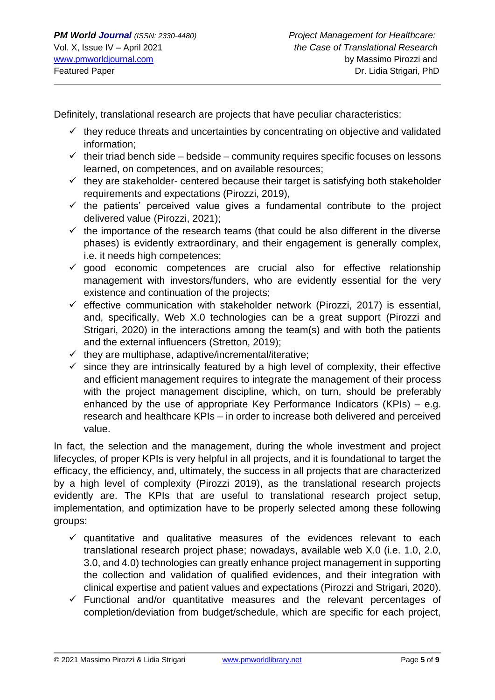Definitely, translational research are projects that have peculiar characteristics:

- $\checkmark$  they reduce threats and uncertainties by concentrating on objective and validated information;
- $\checkmark$  their triad bench side bedside community requires specific focuses on lessons learned, on competences, and on available resources;
- $\checkmark$  they are stakeholder- centered because their target is satisfying both stakeholder requirements and expectations (Pirozzi, 2019),
- $\checkmark$  the patients' perceived value gives a fundamental contribute to the project delivered value (Pirozzi, 2021);
- $\checkmark$  the importance of the research teams (that could be also different in the diverse phases) is evidently extraordinary, and their engagement is generally complex, i.e. it needs high competences;
- $\checkmark$  good economic competences are crucial also for effective relationship management with investors/funders, who are evidently essential for the very existence and continuation of the projects;
- $\checkmark$  effective communication with stakeholder network (Pirozzi, 2017) is essential, and, specifically, Web X.0 technologies can be a great support (Pirozzi and Strigari, 2020) in the interactions among the team(s) and with both the patients and the external influencers (Stretton, 2019);
- $\checkmark$  they are multiphase, adaptive/incremental/iterative;
- $\checkmark$  since they are intrinsically featured by a high level of complexity, their effective and efficient management requires to integrate the management of their process with the project management discipline, which, on turn, should be preferably enhanced by the use of appropriate Key Performance Indicators (KPIs) – e.g. research and healthcare KPIs – in order to increase both delivered and perceived value.

In fact, the selection and the management, during the whole investment and project lifecycles, of proper KPIs is very helpful in all projects, and it is foundational to target the efficacy, the efficiency, and, ultimately, the success in all projects that are characterized by a high level of complexity (Pirozzi 2019), as the translational research projects evidently are. The KPIs that are useful to translational research project setup, implementation, and optimization have to be properly selected among these following groups:

- $\checkmark$  quantitative and qualitative measures of the evidences relevant to each translational research project phase; nowadays, available web X.0 (i.e. 1.0, 2.0, 3.0, and 4.0) technologies can greatly enhance project management in supporting the collection and validation of qualified evidences, and their integration with clinical expertise and patient values and expectations (Pirozzi and Strigari, 2020).
- $\checkmark$  Functional and/or quantitative measures and the relevant percentages of completion/deviation from budget/schedule, which are specific for each project,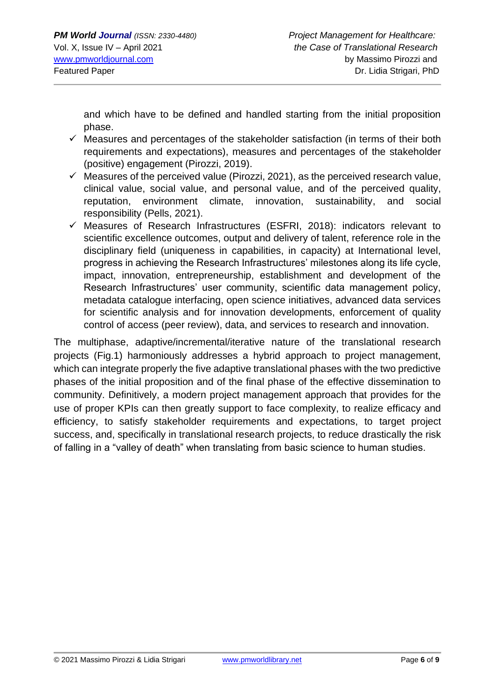and which have to be defined and handled starting from the initial proposition phase.

- $\checkmark$  Measures and percentages of the stakeholder satisfaction (in terms of their both requirements and expectations), measures and percentages of the stakeholder (positive) engagement (Pirozzi, 2019).
- $\checkmark$  Measures of the perceived value (Pirozzi, 2021), as the perceived research value, clinical value, social value, and personal value, and of the perceived quality, reputation, environment climate, innovation, sustainability, and social responsibility (Pells, 2021).
- $\checkmark$  Measures of Research Infrastructures (ESFRI, 2018): indicators relevant to scientific excellence outcomes, output and delivery of talent, reference role in the disciplinary field (uniqueness in capabilities, in capacity) at International level, progress in achieving the Research Infrastructures' milestones along its life cycle, impact, innovation, entrepreneurship, establishment and development of the Research Infrastructures' user community, scientific data management policy, metadata catalogue interfacing, open science initiatives, advanced data services for scientific analysis and for innovation developments, enforcement of quality control of access (peer review), data, and services to research and innovation.

The multiphase, adaptive/incremental/iterative nature of the translational research projects (Fig.1) harmoniously addresses a hybrid approach to project management, which can integrate properly the five adaptive translational phases with the two predictive phases of the initial proposition and of the final phase of the effective dissemination to community. Definitively, a modern project management approach that provides for the use of proper KPIs can then greatly support to face complexity, to realize efficacy and efficiency, to satisfy stakeholder requirements and expectations, to target project success, and, specifically in translational research projects, to reduce drastically the risk of falling in a "valley of death" when translating from basic science to human studies.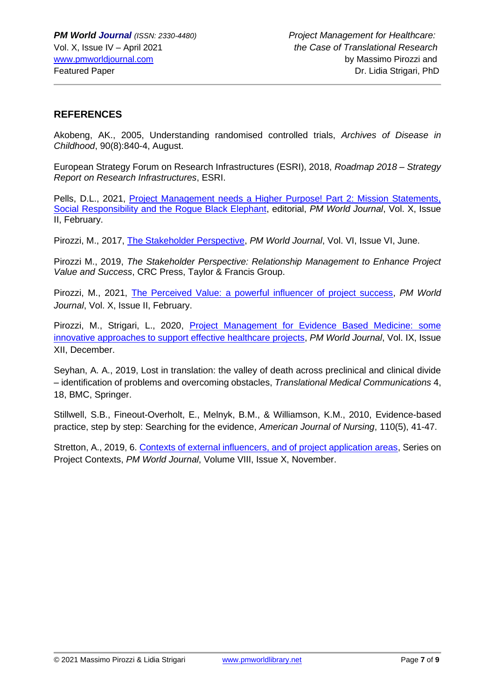#### **REFERENCES**

Akobeng, AK., 2005, Understanding randomised controlled trials, *Archives of Disease in Childhood*, 90(8):840-4, August.

European Strategy Forum on Research Infrastructures (ESRI), 2018, *Roadmap 2018 – Strategy Report on Research Infrastructures*, ESRI.

Pells, D.L., 2021, [Project Management needs a Higher Purpose! Part 2: Mission Statements,](https://pmworldlibrary.net/wp-content/uploads/2021/02/pmwj102-Feb2021-Pells-project-management-needs-a-higher-purpose-editorial-part-2.pdf)  [Social Responsibility and the Rogue Black Elephant,](https://pmworldlibrary.net/wp-content/uploads/2021/02/pmwj102-Feb2021-Pells-project-management-needs-a-higher-purpose-editorial-part-2.pdf) editorial, *PM World Journal*, Vol. X, Issue II, February.

Pirozzi, M., 2017, [The Stakeholder Perspective,](https://pmworldlibrary.net/wp-content/uploads/2017/06/pmwj59-Jun2017-Pirozzi-The-Stakeholder-Perspective-featured-paper.pdf) *PM World Journal*, Vol. VI, Issue VI, June.

Pirozzi M., 2019, *The Stakeholder Perspective: Relationship Management to Enhance Project Value and Success*, CRC Press, Taylor & Francis Group.

Pirozzi, M., 2021, [The Perceived Value: a powerful influencer of project success,](https://pmworldlibrary.net/wp-content/uploads/2021/02/pmwj102-Feb2021-Pirozzi-Perceived-Value-a-powerful-influencer-of-project-success.pdf) *PM World Journal*, Vol. X, Issue II, February.

Pirozzi, M., Strigari, L., 2020, Project Management for Evidence Based Medicine: some innovative [approaches to support effective healthcare projects,](https://pmworldlibrary.net/wp-content/uploads/2020/12/pmwj100-Dec2020-Pirozzi-Strigari-project-management-for-evidence-based-medicine.pdf) *PM World Journal*, Vol. IX, Issue XII, December.

Seyhan, A. A., 2019, Lost in translation: the valley of death across preclinical and clinical divide – identification of problems and overcoming obstacles, *Translational Medical Communications* 4, 18, BMC, Springer.

Stillwell, S.B., Fineout-Overholt, E., Melnyk, B.M., & Williamson, K.M., 2010, Evidence-based practice, step by step: Searching for the evidence, *American Journal of Nursing*, 110(5), 41-47.

Stretton, A., 2019, 6. [Contexts of external influencers, and of project application areas,](https://pmworldlibrary.net/wp-content/uploads/2019/11/pmwj87-Nov2019-Stretton-6-project-contexts-external-influencers-and-application-areas.pdf) Series on Project Contexts, *PM World Journal*, Volume VIII, Issue X, November.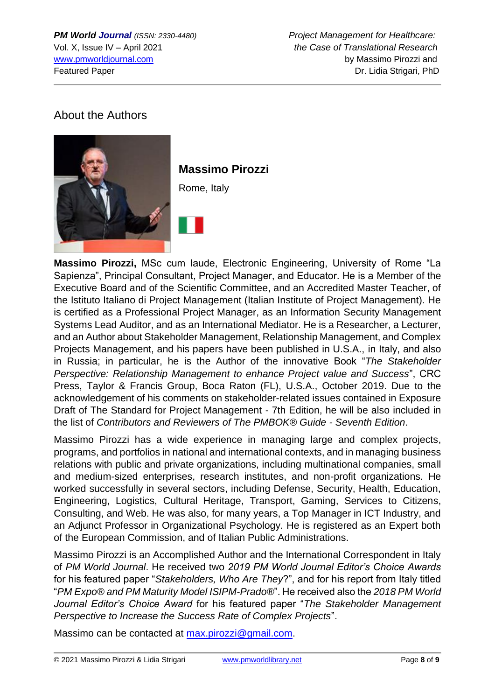*PM World Journal (ISSN: 2330-4480) Project Management for Healthcare:* Vol. X, Issue IV – April 2021 *the Case of Translational Research* [www.pmworldjournal.com](http://www.pmworldjournal.com/) by Massimo Pirozzi and Featured Paper Dr. Lidia Strigari, PhD

## About the Authors



**Massimo Pirozzi,** MSc cum laude, Electronic Engineering, University of Rome "La Sapienza", Principal Consultant, Project Manager, and Educator. He is a Member of the Executive Board and of the Scientific Committee, and an Accredited Master Teacher, of the Istituto Italiano di Project Management (Italian Institute of Project Management). He is certified as a Professional Project Manager, as an Information Security Management Systems Lead Auditor, and as an International Mediator. He is a Researcher, a Lecturer, and an Author about Stakeholder Management, Relationship Management, and Complex Projects Management, and his papers have been published in U.S.A., in Italy, and also in Russia; in particular, he is the Author of the innovative Book "*The Stakeholder Perspective: Relationship Management to enhance Project value and Success*", CRC Press, Taylor & Francis Group, Boca Raton (FL), U.S.A., October 2019. Due to the acknowledgement of his comments on stakeholder-related issues contained in Exposure Draft of The Standard for Project Management - 7th Edition, he will be also included in the list of *Contributors and Reviewers of The PMBOK® Guide - Seventh Edition*.

Massimo Pirozzi has a wide experience in managing large and complex projects, programs, and portfolios in national and international contexts, and in managing business relations with public and private organizations, including multinational companies, small and medium-sized enterprises, research institutes, and non-profit organizations. He worked successfully in several sectors, including Defense, Security, Health, Education, Engineering, Logistics, Cultural Heritage, Transport, Gaming, Services to Citizens, Consulting, and Web. He was also, for many years, a Top Manager in ICT Industry, and an Adjunct Professor in Organizational Psychology. He is registered as an Expert both of the European Commission, and of Italian Public Administrations.

Massimo Pirozzi is an Accomplished Author and the International Correspondent in Italy of *PM World Journal*. He received two *2019 PM World Journal Editor's Choice Awards* for his featured paper "*Stakeholders, Who Are They*?", and for his report from Italy titled "*PM Expo® and PM Maturity Model ISIPM-Prado®*". He received also the *2018 PM World Journal Editor's Choice Award* for his featured paper "*The Stakeholder Management Perspective to Increase the Success Rate of Complex Projects*".

Massimo can be contacted at [max.pirozzi@gmail.com.](mailto:max.pirozzi@gmail.com)